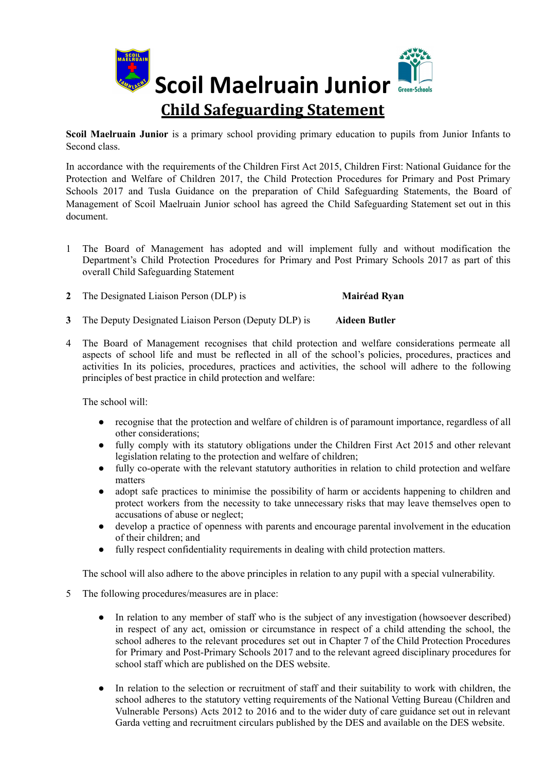

**Scoil Maelruain Junior** is a primary school providing primary education to pupils from Junior Infants to Second class.

In accordance with the requirements of the Children First Act 2015, Children First: National Guidance for the Protection and Welfare of Children 2017, the Child Protection Procedures for Primary and Post Primary Schools 2017 and Tusla Guidance on the preparation of Child Safeguarding Statements, the Board of Management of Scoil Maelruain Junior school has agreed the Child Safeguarding Statement set out in this document.

- 1 The Board of Management has adopted and will implement fully and without modification the Department's Child Protection Procedures for Primary and Post Primary Schools 2017 as part of this overall Child Safeguarding Statement
- **2** The Designated Liaison Person (DLP) is **Mairéad Ryan**
- **3** The Deputy Designated Liaison Person (Deputy DLP) is **Aideen Butler**
- 4 The Board of Management recognises that child protection and welfare considerations permeate all aspects of school life and must be reflected in all of the school's policies, procedures, practices and activities In its policies, procedures, practices and activities, the school will adhere to the following principles of best practice in child protection and welfare:

The school will:

- recognise that the protection and welfare of children is of paramount importance, regardless of all other considerations;
- fully comply with its statutory obligations under the Children First Act 2015 and other relevant legislation relating to the protection and welfare of children;
- fully co-operate with the relevant statutory authorities in relation to child protection and welfare matters
- adopt safe practices to minimise the possibility of harm or accidents happening to children and protect workers from the necessity to take unnecessary risks that may leave themselves open to accusations of abuse or neglect;
- develop a practice of openness with parents and encourage parental involvement in the education of their children; and
- fully respect confidentiality requirements in dealing with child protection matters.

The school will also adhere to the above principles in relation to any pupil with a special vulnerability.

- 5 The following procedures/measures are in place:
	- In relation to any member of staff who is the subject of any investigation (howsoever described) in respect of any act, omission or circumstance in respect of a child attending the school, the school adheres to the relevant procedures set out in Chapter 7 of the Child Protection Procedures for Primary and Post-Primary Schools 2017 and to the relevant agreed disciplinary procedures for school staff which are published on the DES website.
	- In relation to the selection or recruitment of staff and their suitability to work with children, the school adheres to the statutory vetting requirements of the National Vetting Bureau (Children and Vulnerable Persons) Acts 2012 to 2016 and to the wider duty of care guidance set out in relevant Garda vetting and recruitment circulars published by the DES and available on the DES website.